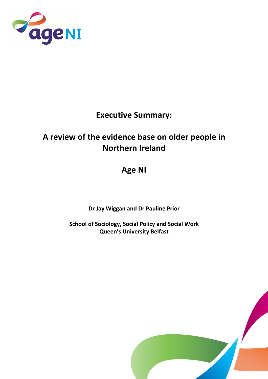

### Executive Summary:

# A review of the evidence base on older people in Northern Ireland

## Age NI

Dr Jay Wiggan and Dr Pauline Prior

School of Sociology, Social Policy and Social Work Queen's University Belfast

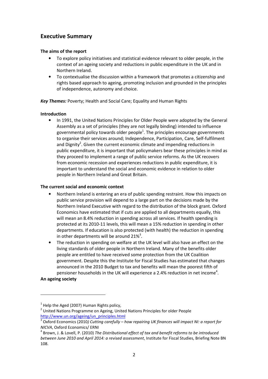### Executive Summary

#### The aims of the report

- To explore policy initiatives and statistical evidence relevant to older people, in the context of an ageing society and reductions in public expenditure in the UK and in Northern Ireland.
- To contextualise the discussion within a framework that promotes a citizenship and rights based approach to ageing, promoting inclusion and grounded in the principles of independence, autonomy and choice.

Key Themes: Poverty; Health and Social Care; Equality and Human Rights

#### Introduction

• In 1991, the United Nations Principles for Older People were adopted by the General Assembly as a set of principles (they are not legally binding) intended to influence governmental policy towards older people<sup>1</sup>. The principles encourage governments to organise their services around; Independence, Participation, Care, Self-fulfilment and Dignity<sup>2</sup>. Given the current economic climate and impending reductions in public expenditure, it is important that policymakers bear these principles in mind as they proceed to implement a range of public service reforms. As the UK recovers from economic recession and experiences reductions in public expenditure, it is important to understand the social and economic evidence in relation to older people in Northern Ireland and Great Britain.

#### The current social and economic context

- Northern Ireland is entering an era of public spending restraint. How this impacts on public service provision will depend to a large part on the decisions made by the Northern Ireland Executive with regard to the distribution of the block grant. Oxford Economics have estimated that if cuts are applied to all departments equally, this will mean an 8.4% reduction in spending across all services. If health spending is protected at its 2010-11 levels, this will mean a 15% reduction in spending in other departments. If education is also protected (with health) the reduction in spending in other departments will be around 21%<sup>3</sup>.
- The reduction in spending on welfare at the UK level will also have an effect on the living standards of older people in Northern Ireland. Many of the benefits older people are entitled to have received some protection from the UK Coalition government. Despite this the Institute for Fiscal Studies has estimated that changes announced in the 2010 Budget to tax and benefits will mean the poorest fifth of pensioner households in the UK will experience a 2.4% reduction in net income<sup>4</sup>.

#### An ageing society

l

 $1$  Help the Aged (2007) Human Rights policy,

<sup>&</sup>lt;sup>2</sup> United Nations Programme on Ageing, United Nations Principles for older People http://www.un.org/ageing/un\_principles.html<br><sup>3</sup> Ovford Feenomiss (2010) Cutting equatulus b

Oxford Economics (2010) Cutting carefully – how repairing UK finances will impact NI: a report for NICVA, Oxford Economics/ ERNI

 $^4$  Brown, J. & Lovell, P. (2010) The Distributional effect of tax and benefit reforms to be introduced between June 2010 and April 2014: a revised assessment, Institute for Fiscal Studies, Briefing Note BN 108.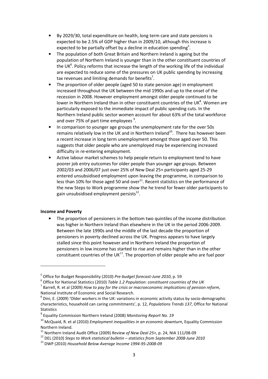- By 2029/30, total expenditure on health, long term care and state pensions is expected to be 2.5% of GDP higher than in 2009/10, although this increase is expected to be partially offset by a decline in education spending<sup>5</sup>.
- The population of both Great Britain and Northern Ireland is ageing but the population of Northern Ireland is younger than in the other constituent countries of the UK $^6$ . Policy reforms that increase the length of the working life of the individual are expected to reduce some of the pressures on UK public spending by increasing tax revenues and limiting demands for benefits<sup>7</sup>.
- The proportion of older people (aged 50 to state pension age) in employment increased throughout the UK between the mid 1990s and up to the onset of the recession in 2008. However employment amongst older people continued to be lower in Northern Ireland than in other constituent countries of the UK $^8$ . Women are particularly exposed to the immediate impact of public spending cuts. In the Northern Ireland public sector women account for about 63% of the total workforce and over 75% of part time employees  $9$ .
- In comparison to younger age groups the unemployment rate for the over 50s remains relatively low in the UK and in Northern Ireland<sup>10</sup>. There has however been a recent increase in long term unemployment amongst those aged over 50. This suggests that older people who are unemployed may be experiencing increased difficulty in re-entering employment.
- Active labour market schemes to help people return to employment tend to have poorer job entry outcomes for older people than younger age groups. Between 2002/03 and 2006/07 just over 25% of New Deal 25+ participants aged 25-29 entered unsubsidised employment upon leaving the programme, in comparison to less than 10% for those aged 50 and over $^{11}$ . Recent statistics on the performance of the new Steps to Work programme show the he trend for fewer older participants to gain unsubsidised employment persists $^{12}$ .

#### Income and Poverty

l

The proportion of pensioners in the bottom two quintiles of the income distribution was higher in Northern Ireland than elsewhere in the UK in the period 2006-2009. Between the late 1990s and the middle of the last decade the proportion of pensioners in poverty declined across the UK. Progress appears to have largely stalled since this point however and in Northern Ireland the proportion of pensioners in low income has started to rise and remains higher than in the other constituent countries of the UK $<sup>13</sup>$ . The proportion of older people who are fuel poor</sup>

<sup>&</sup>lt;sup>5</sup> Office for Budget Responsibility (2010) Pre-budget forecast-June 2010, p. 59

 $^6$  Office for National Statistics (2010) Table 1.2 Population: constituent countries of the UK

<sup>&</sup>lt;sup>7</sup> Barrell, R. et al (2009) How to pay for the crisis or macroeconomic implications of pension reform, National Institute of Economic and Social Research.

 $^8$  Dini, E. (2009) 'Older workers in the UK: variations in economic activity status by socio-demographic characteristics, household can caring commitments', p. 12, Populations Trends 137, Office for National Statistics

<sup>&</sup>lt;sup>9</sup> Equality Commission Northern Ireland (2008) Monitoring Report No. 19

 $10$  McQuaid, R. et al (2010) Employment inequalities in an economic downturn, Equality Commission Northern Ireland.

 $11$  Northern Ireland Audit Office (2009) Review of New Deal 25+, p. 24, NIA 111/08-09

 $12$  DEL (2010) Steps to Work statistical bulletin – statistics from September 2008-June 2010

<sup>13</sup> DWP (2010) Household Below Average Income 1994-95-2008-09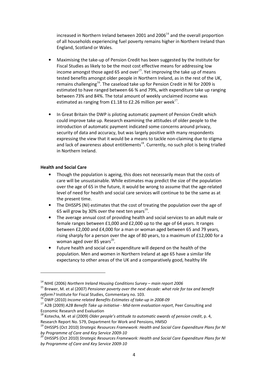increased in Northern Ireland between 2001 and  $2006<sup>14</sup>$  and the overall proportion of all households experiencing fuel poverty remains higher in Northern Ireland than England, Scotland or Wales.

- Maximising the take-up of Pension Credit has been suggested by the Institute for Fiscal Studies as likely to be the most cost effective means for addressing low income amongst those aged 65 and over<sup>15</sup>. Yet improving the take up of means tested benefits amongst older people in Northern Ireland, as in the rest of the UK, remains challenging<sup>16</sup>. The caseload take up for Pension Credit in NI for 2009 is estimated to have ranged between 66 % and 79%, with expenditure take up ranging between 73% and 84%. The total amount of weekly unclaimed income was estimated as ranging from £1.18 to £2.26 million per week $^{17}$ .
- In Great Britain the DWP is piloting automatic payment of Pension Credit which could improve take up. Research examining the attitudes of older people to the introduction of automatic payment indicated some concerns around privacy, security of data and accuracy, but was largely positive with many respondents expressing the view that it would be a means to tackle non-claiming due to stigma and lack of awareness about entitlements<sup>18</sup>. Currently, no such pilot is being trialled in Northern Ireland.

#### Health and Social Care

 $\overline{a}$ 

- Though the population is ageing, this does not necessarily mean that the costs of care will be unsustainable. While estimates may predict the size of the population over the age of 65 in the future, it would be wrong to assume that the age-related level of need for health and social care services will continue to be the same as at the present time.
- The DHSSPS (NI) estimates that the cost of treating the population over the age of 65 will grow by 30% over the next ten years $^{19}$ .
- The average annual cost of providing health and social services to an adult male or female ranges between £1,000 and £2,000 up to the age of 64 years. It ranges between £2,000 and £4,000 for a man or woman aged between 65 and 79 years, rising sharply for a person over the age of 80 years, to a maximum of £12,000 for a woman aged over 85 years<sup>20</sup>.
- Future health and social care expenditure will depend on the health of the population. Men and women in Northern Ireland at age 65 have a similar life expectancy to other areas of the UK and a comparatively good, healthy life

 $14$  NIHE (2006) Northern Ireland Housing Conditions Survey – main report 2006

 $15$  Brewer, M. et al (2007) Pensioner poverty over the next decade: what role for tax and benefit reform? Institute for Fiscal Studies, Commentary no. 103.

 $\overline{1}$  DWP (2010) Income related Benefits Estimates of take-up in 2008-09

 $17$  A2B (2009) A2B Benefit Take up initiative - Mid-term evaluation report, Peer Consulting and Economic Research and Evaluation

 $^{18}$  Kotecha, M. et al (2009) Older people's attitude to automatic awards of pension credit, p. 4, Research Report No. 579, Department for Work and Pensions, HMSO

<sup>&</sup>lt;sup>19</sup> DHSSPS (Oct 2010) Strategic Resources Framework: Health and Social Care Expenditure Plans for NI by Programme of Care and Key Service 2009-10

<sup>&</sup>lt;sup>20</sup> DHSSPS (Oct 2010) Strategic Resources Framework: Health and Social Care Expenditure Plans for NI by Programme of Care and Key Service 2009-10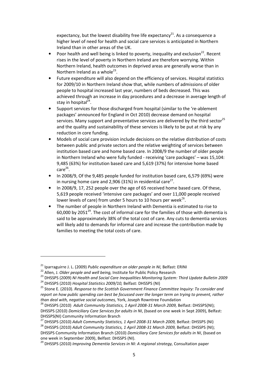expectancy, but the lowest disability free life expectancy<sup>21</sup>. As a consequence a higher level of need for health and social care services is anticipated in Northern Ireland than in other areas of the UK.

- Poor health and well being is linked to poverty, inequality and exclusion<sup>22</sup>. Recent rises in the level of poverty in Northern Ireland are therefore worrying. Within Northern Ireland, health outcomes in deprived areas are generally worse than in Northern Ireland as a whole $^{23}$ .
- Future expenditure will also depend on the efficiency of services. Hospital statistics for 2009/10 in Northern Ireland show that, while numbers of admissions of older people to hospital increased last year, numbers of beds decreased. This was achieved through an increase in day procedures and a decrease in average length of stay in hospital<sup>24</sup>.
- Support services for those discharged from hospital (similar to the 're-ablement packages' announced for England in Oct 2010) decrease demand on hospital services. Many support and preventative services are delivered by the third sector<sup>25</sup> and the quality and sustainability of these services is likely to be put at risk by any reduction in core funding.
- Models of social care provision include decisions on the relative distribution of costs between public and private sectors and the relative weighting of services between institution based care and home based care. In 2008/9 the number of older people in Northern Ireland who were fully funded - receiving 'care packages' – was 15,104: 9,485 (63%) for institution based care and 5,619 (37%) for intensive home based  $\mathsf{care}^{26}.$
- In 2008/9, Of the 9,485 people funded for institution based care, 6,579 (69%) were in nursing home care and 2,906 (31%) in residential care<sup>27</sup>.
- In 2008/9, 17, 252 people over the age of 65 received home based care. Of these, 5,619 people received 'intensive care packages' and over 11,000 people received lower levels of care) from under 5 hours to 10 hours per week<sup>28</sup>.
- The number of people in Northern Ireland with Dementia is estimated to rise to 60,000 by 2051 $^{29}$ . The cost of informal care for the families of those with dementia is said to be approximately 38% of the total cost of care. Any cuts to dementia services will likely add to demands for informal care and increase the contribution made by families to meeting the total costs of care.

l

 $21$  Iparraguirre J. L. (2009) Public expenditure on older people in NI, Belfast: ERINI

<sup>&</sup>lt;sup>22</sup> Allen, J. Older people and well being, Institute for Public Policy Research

<sup>&</sup>lt;sup>23</sup> DHSSPS (2009) NI Health and Social Care Inequalities Monitoring System: Third Update Bulletin 2009

 $^{24}$  DHSSPS (2010) Hospital Statistics 2009/10, Belfast: DHSSPS (NI)

<sup>&</sup>lt;sup>25</sup> Stone E. (2010). Response to the Scottish Government Finance Committee Inquiry: To consider and report on how public spending can best be focussed over the longer term on trying to prevent, rather than deal with, negative social outcomes, York, Joseph Rowntree Foundation

<sup>&</sup>lt;sup>26</sup> DHSSPS (2010) Adult Community Statistics, 1 April 2008-31 March 2009, Belfast: DHSSPS(NI); DHSSPS (2010) Domiciliary Care Services for adults in NI, (based on one week in Sept 2009), Belfast: DHSSPS(NI) Community Information Branch

<sup>&</sup>lt;sup>27</sup> DHSSPS (2010) Adult Community Statistics, 1 April 2008-31 March 2009, Belfast: DHSSPS (NI)

<sup>&</sup>lt;sup>28</sup> DHSSPS (2010) Adult Community Statistics, 1 April 2008-31 March 2009, Belfast: DHSSPS (NI);

DHSSPS Community Information Branch (2010) Domiciliary Care Services for adults in NI, (based on one week in September 2009), Belfast: DHSSPS (NI).

 $29$  DHSSPS (2010) Improving Dementia Services in NI: A regional strategy, Consultation paper